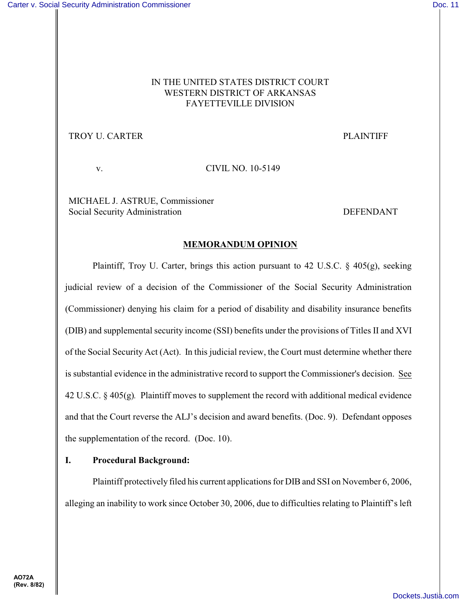## IN THE UNITED STATES DISTRICT COURT WESTERN DISTRICT OF ARKANSAS FAYETTEVILLE DIVISION

# TROY U. CARTER THE PLAINTIFF

v. CIVIL NO. 10-5149

MICHAEL J. ASTRUE, Commissioner Social Security Administration and the security Administration between  $\Gamma$ 

#### **MEMORANDUM OPINION**

Plaintiff, Troy U. Carter, brings this action pursuant to 42 U.S.C.  $\S$  405(g), seeking judicial review of a decision of the Commissioner of the Social Security Administration (Commissioner) denying his claim for a period of disability and disability insurance benefits (DIB) and supplemental security income (SSI) benefits under the provisions of Titles II and XVI of the Social Security Act (Act). In this judicial review, the Court must determine whether there is substantial evidence in the administrative record to support the Commissioner's decision. See 42 U.S.C. § 405(g)*.* Plaintiff moves to supplement the record with additional medical evidence and that the Court reverse the ALJ's decision and award benefits. (Doc. 9). Defendant opposes the supplementation of the record. (Doc. 10).

## **I. Procedural Background:**

Plaintiff protectively filed his current applications for DIB and SSI on November 6, 2006, alleging an inability to work since October 30, 2006, due to difficulties relating to Plaintiff's left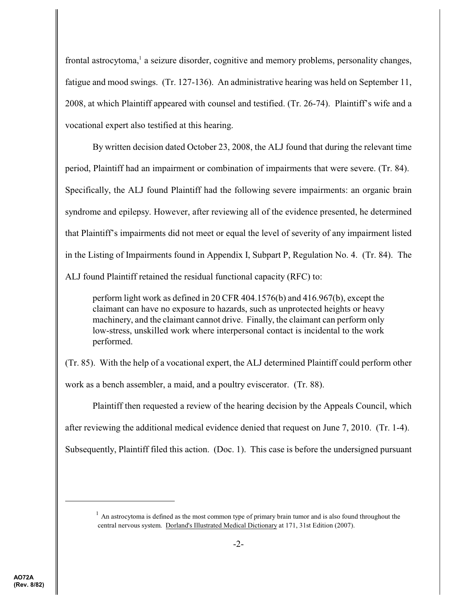frontal astrocytoma,<sup>1</sup> a seizure disorder, cognitive and memory problems, personality changes, fatigue and mood swings. (Tr. 127-136). An administrative hearing was held on September 11, 2008, at which Plaintiff appeared with counsel and testified. (Tr. 26-74). Plaintiff's wife and a vocational expert also testified at this hearing.

By written decision dated October 23, 2008, the ALJ found that during the relevant time period, Plaintiff had an impairment or combination of impairments that were severe. (Tr. 84). Specifically, the ALJ found Plaintiff had the following severe impairments: an organic brain syndrome and epilepsy. However, after reviewing all of the evidence presented, he determined that Plaintiff's impairments did not meet or equal the level of severity of any impairment listed in the Listing of Impairments found in Appendix I, Subpart P, Regulation No. 4. (Tr. 84). The ALJ found Plaintiff retained the residual functional capacity (RFC) to:

perform light work as defined in 20 CFR 404.1576(b) and 416.967(b), except the claimant can have no exposure to hazards, such as unprotected heights or heavy machinery, and the claimant cannot drive. Finally, the claimant can perform only low-stress, unskilled work where interpersonal contact is incidental to the work performed.

(Tr. 85). With the help of a vocational expert, the ALJ determined Plaintiff could perform other work as a bench assembler, a maid, and a poultry eviscerator. (Tr. 88).

Plaintiff then requested a review of the hearing decision by the Appeals Council, which after reviewing the additional medical evidence denied that request on June 7, 2010. (Tr. 1-4). Subsequently, Plaintiff filed this action. (Doc. 1). This case is before the undersigned pursuant

 $<sup>1</sup>$  An astrocytoma is defined as the most common type of primary brain tumor and is also found throughout the</sup> central nervous system. Dorland's Illustrated Medical Dictionary at 171, 31st Edition (2007).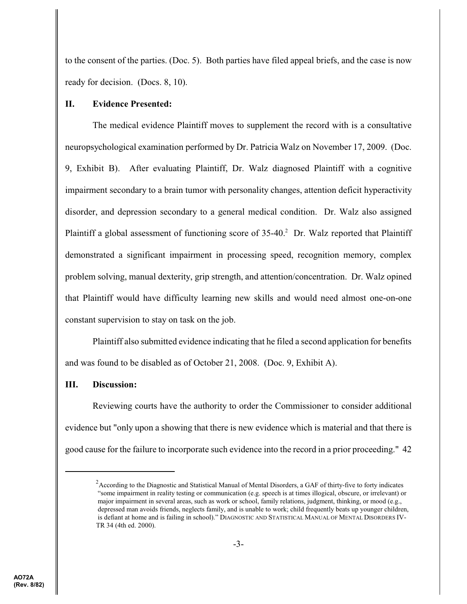to the consent of the parties. (Doc. 5). Both parties have filed appeal briefs, and the case is now ready for decision. (Docs. 8, 10).

#### **II. Evidence Presented:**

The medical evidence Plaintiff moves to supplement the record with is a consultative neuropsychological examination performed by Dr. Patricia Walz on November 17, 2009. (Doc. 9, Exhibit B). After evaluating Plaintiff, Dr. Walz diagnosed Plaintiff with a cognitive impairment secondary to a brain tumor with personality changes, attention deficit hyperactivity disorder, and depression secondary to a general medical condition. Dr. Walz also assigned Plaintiff a global assessment of functioning score of  $35-40$ .<sup>2</sup> Dr. Walz reported that Plaintiff demonstrated a significant impairment in processing speed, recognition memory, complex problem solving, manual dexterity, grip strength, and attention/concentration. Dr. Walz opined that Plaintiff would have difficulty learning new skills and would need almost one-on-one constant supervision to stay on task on the job.

Plaintiff also submitted evidence indicating that he filed a second application for benefits and was found to be disabled as of October 21, 2008. (Doc. 9, Exhibit A).

#### **III. Discussion:**

Reviewing courts have the authority to order the Commissioner to consider additional evidence but "only upon a showing that there is new evidence which is material and that there is good cause for the failure to incorporate such evidence into the record in a prior proceeding." 42

 $A$ ccording to the Diagnostic and Statistical Manual of Mental Disorders, a GAF of thirty-five to forty indicates "some impairment in reality testing or communication (e.g. speech is at times illogical, obscure, or irrelevant) or major impairment in several areas, such as work or school, family relations, judgment, thinking, or mood (e.g., depressed man avoids friends, neglects family, and is unable to work; child frequently beats up younger children, is defiant at home and is failing in school)." DIAGNOSTIC AND STATISTICAL MANUAL OF MENTAL DISORDERS IV-TR 34 (4th ed. 2000).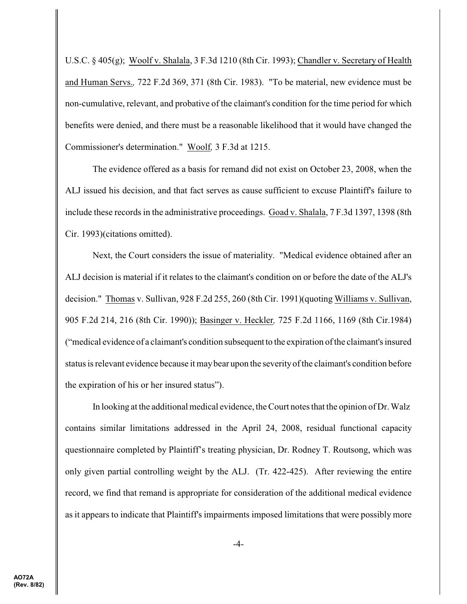U.S.C. § 405(g); Woolf v. Shalala, 3 F.3d 1210 (8th Cir. 1993); Chandler v. Secretary of Health and Human Servs.*,* 722 F.2d 369, 371 (8th Cir. 1983). "To be material, new evidence must be non-cumulative, relevant, and probative of the claimant's condition for the time period for which benefits were denied, and there must be a reasonable likelihood that it would have changed the Commissioner's determination." Woolf*,* 3 F.3d at 1215.

The evidence offered as a basis for remand did not exist on October 23, 2008, when the ALJ issued his decision, and that fact serves as cause sufficient to excuse Plaintiff's failure to include these records in the administrative proceedings. Goad v. Shalala, 7 F.3d 1397, 1398 (8th Cir. 1993)(citations omitted).

Next, the Court considers the issue of materiality. "Medical evidence obtained after an ALJ decision is material if it relates to the claimant's condition on or before the date of the ALJ's decision." Thomas v. Sullivan, 928 F.2d 255, 260 (8th Cir. 1991)(quoting Williams v. Sullivan, 905 F.2d 214, 216 (8th Cir. 1990)); Basinger v. Heckler*,* 725 F.2d 1166, 1169 (8th Cir.1984) ("medical evidence of a claimant's condition subsequent to the expiration of the claimant's insured status is relevant evidence because it maybear upon the severityof the claimant's condition before the expiration of his or her insured status").

In looking at the additional medical evidence, the Court notes that the opinion of Dr. Walz contains similar limitations addressed in the April 24, 2008, residual functional capacity questionnaire completed by Plaintiff's treating physician, Dr. Rodney T. Routsong, which was only given partial controlling weight by the ALJ. (Tr. 422-425). After reviewing the entire record, we find that remand is appropriate for consideration of the additional medical evidence as it appears to indicate that Plaintiff's impairments imposed limitations that were possibly more